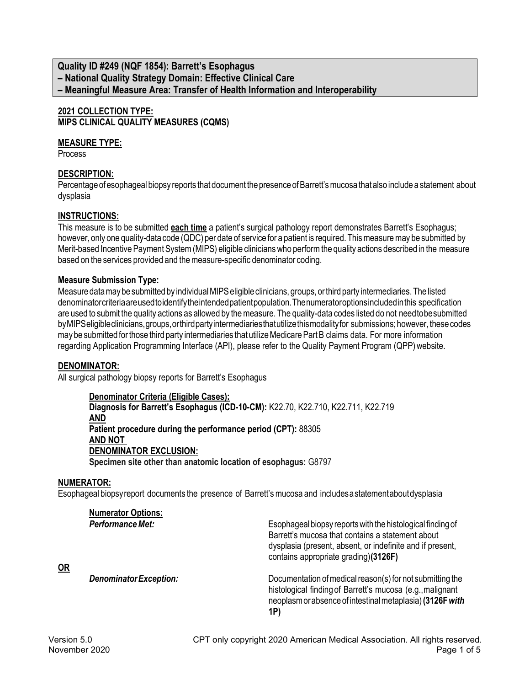# **Quality ID #249 (NQF 1854): Barrett's Esophagus – National Quality Strategy Domain: Effective Clinical Care – Meaningful Measure Area: Transfer of Health Information and Interoperability**

#### **2021 COLLECTION TYPE: MIPS CLINICAL QUALITY MEASURES (CQMS)**

### **MEASURE TYPE:**

Process

## **DESCRIPTION:**

Percentage of esophageal biopsy reports that document the presence of Barrett's mucosa that also include a statement about dysplasia

## **INSTRUCTIONS:**

This measure is to be submitted **each time** a patient's surgical pathology report demonstrates Barrett's Esophagus; however, only one quality-data code (QDC) per date of service for a patient is required. This measure may be submitted by Merit-based Incentive Payment System (MIPS) eligible clinicians who perform the quality actions described in the measure based on the services provided and the measure-specific denominator coding.

### **Measure Submission Type:**

Measure data may be submitted by individual MIPS eligible clinicians, groups, or third party intermediaries. The listed denominatorcriteriaareused to identify the intendedpatientpopulation.Thenumeratoroptionsincludedinthis specification are used to submit the quality actions as allowed by the measure. The quality-data codes listed do not need to besubmitted byMIPSeligibleclinicians,groups,orthirdpartyintermediariesthatutilizethismodalityfor submissions;however, thesecodes may be submitted for those third party intermediaries that utilize Medicare Part B claims data. For more information regarding Application Programming Interface (API), please refer to the Quality Payment Program (QPP)website.

### **DENOMINATOR:**

All surgical pathology biopsy reports for Barrett's Esophagus

**Denominator Criteria (Eligible Cases): Diagnosis for Barrett's Esophagus (ICD-10-CM):** K22.70, K22.710, K22.711, K22.719 **AND Patient procedure during the performance period (CPT):** 88305 **AND NOT DENOMINATOR EXCLUSION: Specimen site other than anatomic location of esophagus:** G8797

### **NUMERATOR:**

Esophageal biopsyreport documents the presence of Barrett's mucosa and includes a statementaboutdysplasia

| <b>Numerator Options:</b><br>Performance Met: | Esophageal biopsy reports with the histological finding of<br>Barrett's mucosa that contains a statement about<br>dysplasia (present, absent, or indefinite and if present,<br>contains appropriate grading)(3126F) |
|-----------------------------------------------|---------------------------------------------------------------------------------------------------------------------------------------------------------------------------------------------------------------------|
| Denominator Exception:                        | Documentation of medical reason(s) for not submitting the<br>histological finding of Barrett's mucosa (e.g., malignant<br>neoplasm or absence of intestinal metaplasia) (3126F with<br>1P)                          |

**OR**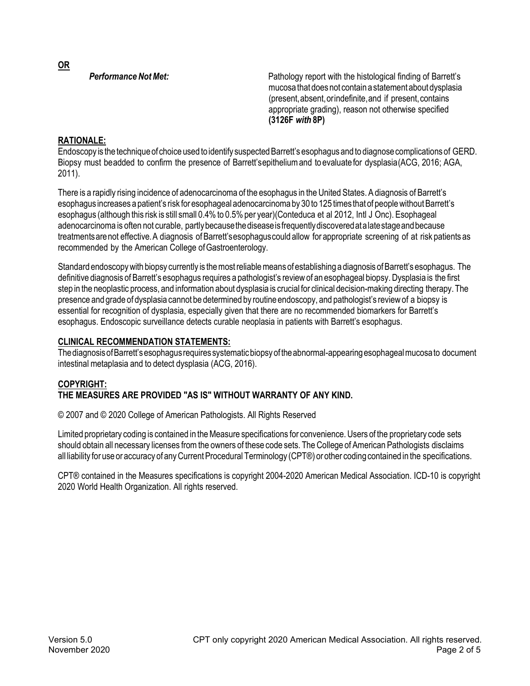**OR**

**Performance Not Met:** Pathology report with the histological finding of Barrett's mucosa that does not contain a statement about dysplasia (present,absent,orindefinite,and if present,contains appropriate grading), reason not otherwise specified **(3126F** *with* **8P)**

# **RATIONALE:**

Endoscopy is the technique of choice used to identify suspected Barrett's esophagus and to diagnose complications of GERD. Biopsy must beadded to confirm the presence of Barrett'sepithelium and to evaluate for dysplasia(ACG, 2016; AGA, 2011).

There is a rapidly rising incidence of adenocarcinoma of the esophagus in the United States. A diagnosis of Barrett's esophagus increases a patient's risk for esophageal adenocarcinoma by 30 to 125 times that of people without Barrett's esophagus (although this risk is still small 0.4% to 0.5% per year)(Conteduca et al 2012, Intl J Onc). Esophageal adenocarcinoma is often not curable, partly because the disease is frequently discovered at a late stage and because treatmentsarenot effective. A diagnosis of Barrett'sesophaguscould allow for appropriate screening of at risk patients as recommended by the American College of Gastroenterology.

Standard endoscopy with biopsy currently is the most reliable means of establishing a diagnosis of Barrett's esophagus. The definitive diagnosis of Barrett's esophagus requires a pathologist's reviewof an esophageal biopsy.Dysplasia is the first step in the neoplastic process, and information about dysplasia is crucial for clinical decision-making directing therapy.The presence and grade of dysplasia cannot be determined by routine endoscopy, and pathologist's reviewof a biopsy is essential for recognition of dysplasia, especially given that there are no recommended biomarkers for Barrett's esophagus. Endoscopic surveillance detects curable neoplasia in patients with Barrett's esophagus.

# **CLINICAL RECOMMENDATION STATEMENTS:**

The diagnosis of Barrett's esophagus requires systematic biopsy of the abnormal-appearing esophageal mucosato document intestinal metaplasia and to detect dysplasia (ACG, 2016).

### **COPYRIGHT: THE MEASURES ARE PROVIDED "AS IS" WITHOUT WARRANTY OF ANY KIND.**

© 2007 and © 2020 College of American Pathologists. All Rights Reserved

Limited proprietary coding is contained in the Measure specifications for convenience. Users of the proprietary code sets should obtain all necessary licenses from the owners of these code sets. The College of American Pathologists disclaims all liability for use or accuracy of any Current Procedural Terminology (CPT®) or other coding contained in the specifications.

CPT® contained in the Measures specifications is copyright 2004-2020 American Medical Association. ICD-10 is copyright 2020 World Health Organization. All rights reserved.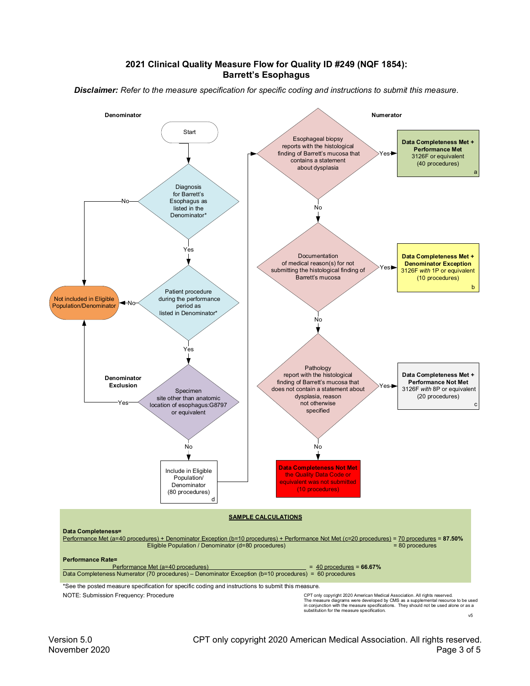#### **2021 Clinical Quality Measure Flow for Quality ID #249 (NQF 1854): Barrett's Esophagus**

*Disclaimer: Refer to the measure specification for specific coding and instructions to submit this measure.*

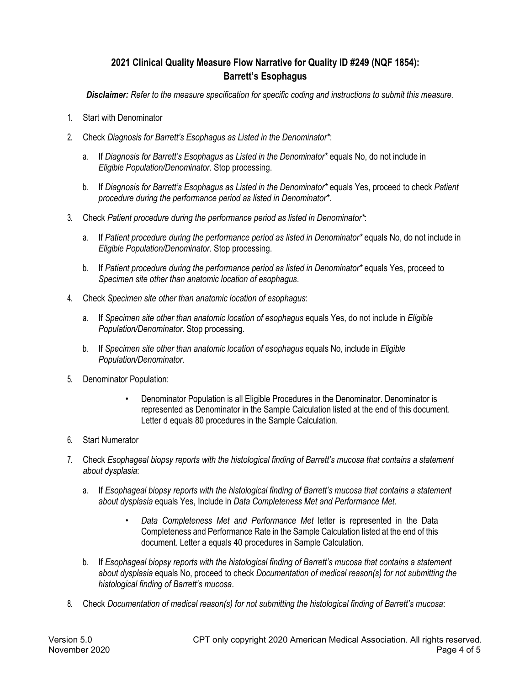# **2021 Clinical Quality Measure Flow Narrative for Quality ID #249 (NQF 1854): Barrett's Esophagus**

*Disclaimer: Refer to the measure specification for specific coding and instructions to submit this measure.*

- 1. Start with Denominator
- 2. Check *Diagnosis for Barrett's Esophagus as Listed in the Denominator\**:
	- a. If *Diagnosis for Barrett's Esophagus as Listed in the Denominator\** equals No, do not include in *Eligible Population/Denominator*. Stop processing.
	- b. If *Diagnosis for Barrett's Esophagus as Listed in the Denominator\** equals Yes, proceed to check *Patient procedure during the performance period as listed in Denominator\**.
- 3. Check *Patient procedure during the performance period as listed in Denominator\**:
	- a. If *Patient procedure during the performance period as listed in Denominator\** equals No, do not include in *Eligible Population/Denominator*. Stop processing.
	- b. If *Patient procedure during the performance period as listed in Denominator\** equals Yes, proceed to *Specimen site other than anatomic location of esophagus*.
- 4. Check *Specimen site other than anatomic location of esophagus*:
	- a. If *Specimen site other than anatomic location of esophagus* equals Yes, do not include in *Eligible Population/Denominator*. Stop processing.
	- b. If *Specimen site other than anatomic location of esophagus* equals No, include in *Eligible Population/Denominator*.
- 5. Denominator Population:
	- Denominator Population is all Eligible Procedures in the Denominator. Denominator is represented as Denominator in the Sample Calculation listed at the end of this document. Letter d equals 80 procedures in the Sample Calculation.
- 6. Start Numerator
- 7. Check *Esophageal biopsy reports with the histological finding of Barrett's mucosa that contains a statement about dysplasia*:
	- a. If *Esophageal biopsy reports with the histological finding of Barrett's mucosa that contains a statement about dysplasia* equals Yes, Include in *Data Completeness Met and Performance Met*.
		- *Data Completeness Met and Performance Met* letter is represented in the Data Completeness and Performance Rate in the Sample Calculation listed at the end of this document. Letter a equals 40 procedures in Sample Calculation.
	- b. If *Esophageal biopsy reports with the histological finding of Barrett's mucosa that contains a statement about dysplasia* equals No, proceed to check *Documentation of medical reason(s) for not submitting the histological finding of Barrett's mucosa*.
- 8. Check *Documentation of medical reason(s) for not submitting the histological finding of Barrett's mucosa*: